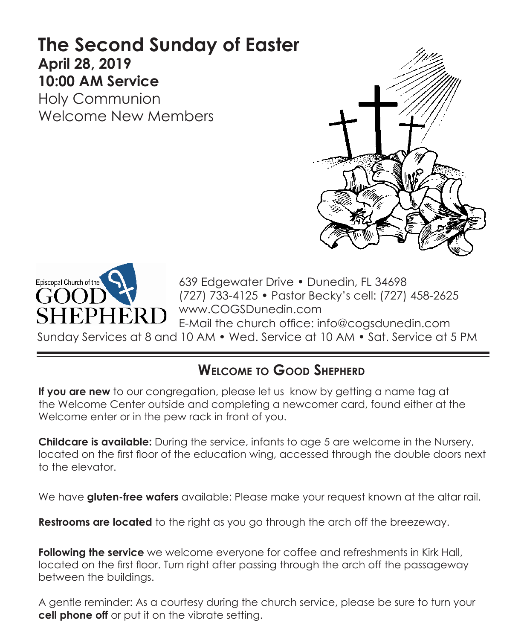# **The Second Sunday of Easter April 28, 2019 10:00 AM Service**

Holy Communion Welcome New Members





639 Edgewater Drive • Dunedin, FL 34698 (727) 733-4125 • Pastor Becky's cell: (727) 458-2625 www.COGSDunedin.com E-Mail the church office: info@cogsdunedin.com

Sunday Services at 8 and 10 AM • Wed. Service at 10 AM • Sat. Service at 5 PM

## **Welcome to Good Shepherd**

**If you are new** to our congregation, please let us know by getting a name tag at the Welcome Center outside and completing a newcomer card, found either at the Welcome enter or in the pew rack in front of you.

**Childcare is available:** During the service, infants to age 5 are welcome in the Nursery, located on the first floor of the education wing, accessed through the double doors next to the elevator.

We have **gluten-free wafers** available: Please make your request known at the altar rail.

**Restrooms are located** to the right as you go through the arch off the breezeway.

**Following the service** we welcome everyone for coffee and refreshments in Kirk Hall, located on the first floor. Turn right after passing through the arch off the passageway between the buildings.

A gentle reminder: As a courtesy during the church service, please be sure to turn your **cell phone off** or put it on the vibrate setting.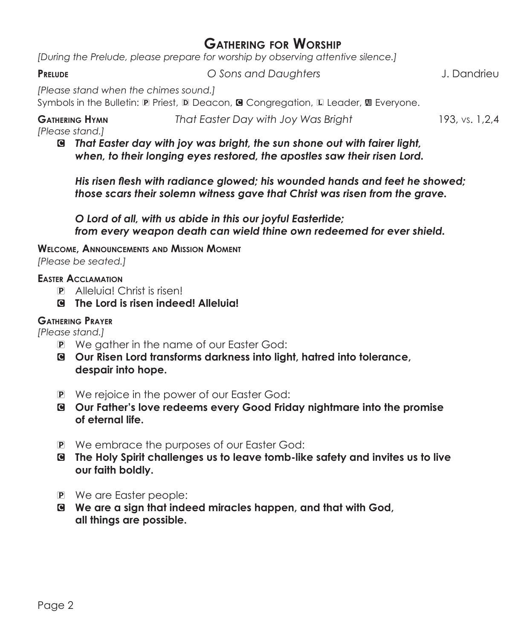## **Gathering for Worship**

*[During the Prelude, please prepare for worship by observing attentive silence.]*

## **Prelude** *O Sons and Daughters* J. Dandrieu

*[Please stand when the chimes sound.]*

Symbols in the Bulletin:  $\mathbb D$  Priest,  $\mathbb D$  Deacon, **G** Congregation,  $\mathbb D$  Leader,  $\mathbb D$  Everyone.

**Gathering Hymn** *That Easter Day with Joy Was Bright* 193, vs. 1,2,4

*[Please stand.]*

C *That Easter day with joy was bright, the sun shone out with fairer light, when, to their longing eyes restored, the apostles saw their risen Lord.*

*His risen flesh with radiance glowed; his wounded hands and feet he showed; those scars their solemn witness gave that Christ was risen from the grave.*

*O Lord of all, with us abide in this our joyful Eastertide; from every weapon death can wield thine own redeemed for ever shield.*

**Welcome, Announcements and Mission Moment**

*[Please be seated.]*

### **Easter Acclamation**

- P Alleluia! Christ is risen!
- C **The Lord is risen indeed! Alleluia!**

## **Gathering Prayer**

*[Please stand.]*

- P We gather in the name of our Easter God:
- C **Our Risen Lord transforms darkness into light, hatred into tolerance, despair into hope.**
- P We rejoice in the power of our Easter God:
- C **Our Father's love redeems every Good Friday nightmare into the promise of eternal life.**
- P We embrace the purposes of our Easter God:
- C **The Holy Spirit challenges us to leave tomb-like safety and invites us to live our faith boldly.**
- P We are Easter people:
- C **We are a sign that indeed miracles happen, and that with God, all things are possible.**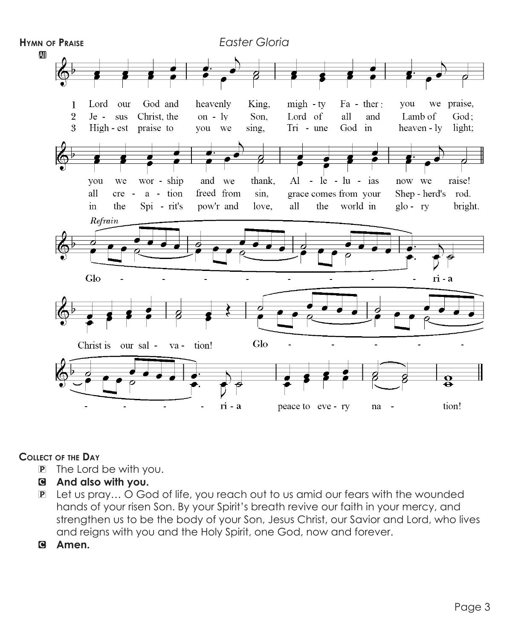

## **Collect of the Day**

- P The Lord be with you.
- C **And also with you.**
- P Let us pray… O God of life, you reach out to us amid our fears with the wounded hands of your risen Son. By your Spirit's breath revive our faith in your mercy, and strengthen us to be the body of your Son, Jesus Christ, our Savior and Lord, who lives and reigns with you and the Holy Spirit, one God, now and forever.
- C **Amen.**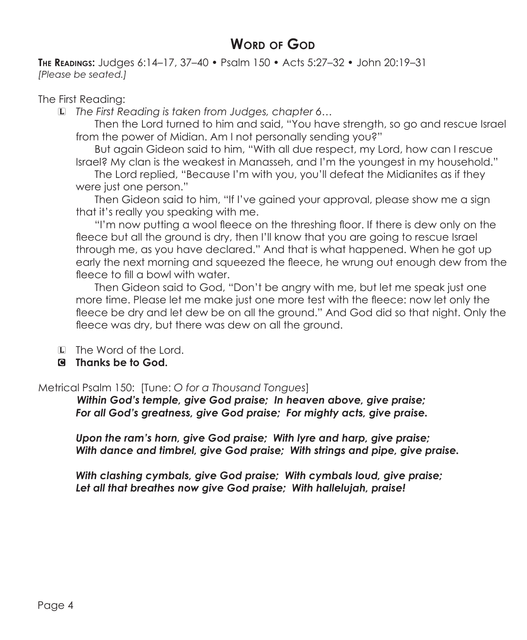## **Word of God**

**The Readings:** Judges 6:14–17, 37–40 • Psalm 150 • Acts 5:27–32 • John 20:19–31 *[Please be seated.]*

The First Reading:

L *The First Reading is taken from Judges, chapter 6…*

 Then the Lord turned to him and said, "You have strength, so go and rescue Israel from the power of Midian. Am I not personally sending you?"

But again Gideon said to him, "With all due respect, my Lord, how can I rescue Israel? My clan is the weakest in Manasseh, and I'm the youngest in my household."

The Lord replied, "Because I'm with you, you'll defeat the Midianites as if they were just one person."

Then Gideon said to him, "If I've gained your approval, please show me a sign that it's really you speaking with me.

"I'm now putting a wool fleece on the threshing floor. If there is dew only on the fleece but all the ground is dry, then I'll know that you are going to rescue Israel through me, as you have declared." And that is what happened. When he got up early the next morning and squeezed the fleece, he wrung out enough dew from the fleece to fill a bowl with water.

Then Gideon said to God, "Don't be angry with me, but let me speak just one more time. Please let me make just one more test with the fleece: now let only the fleece be dry and let dew be on all the ground." And God did so that night. Only the fleece was dry, but there was dew on all the ground.

- L The Word of the Lord.
- C **Thanks be to God.**

Metrical Psalm 150: [Tune: *O for a Thousand Tongues*]

*Within God's temple, give God praise; In heaven above, give praise; For all God's greatness, give God praise; For mighty acts, give praise.*

*Upon the ram's horn, give God praise; With lyre and harp, give praise; With dance and timbrel, give God praise; With strings and pipe, give praise.*

*With clashing cymbals, give God praise; With cymbals loud, give praise; Let all that breathes now give God praise; With hallelujah, praise!*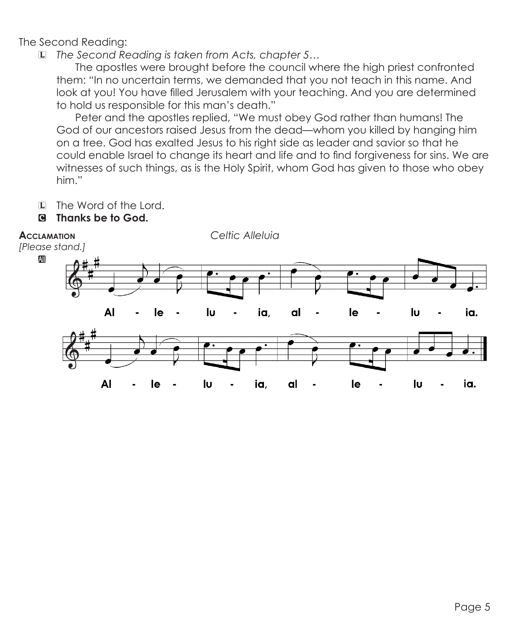The Second Reading:

L *The Second Reading is taken from Acts, chapter 5…*

The apostles were brought before the council where the high priest confronted them: "In no uncertain terms, we demanded that you not teach in this name. And look at you! You have filled Jerusalem with your teaching. And you are determined to hold us responsible for this man's death."

Peter and the apostles replied, "We must obey God rather than humans! The God of our ancestors raised Jesus from the dead—whom you killed by hanging him on a tree. God has exalted Jesus to his right side as leader and savior so that he could enable Israel to change its heart and life and to find forgiveness for sins. We are witnesses of such things, as is the Holy Spirit, whom God has given to those who obey him."

L The Word of the Lord.



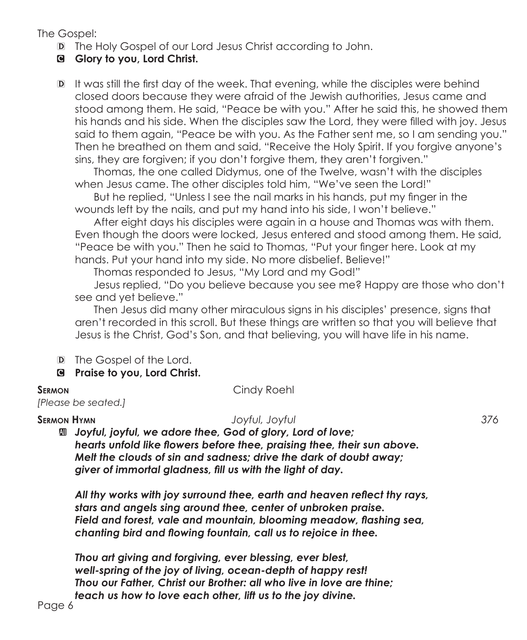## The Gospel:

- D The Holy Gospel of our Lord Jesus Christ according to John.
- C **Glory to you, Lord Christ.**
- D It was still the first day of the week. That evening, while the disciples were behind closed doors because they were afraid of the Jewish authorities, Jesus came and stood among them. He said, "Peace be with you." After he said this, he showed them his hands and his side. When the disciples saw the Lord, they were filled with joy. Jesus said to them again, "Peace be with you. As the Father sent me, so I am sending you." Then he breathed on them and said, "Receive the Holy Spirit. If you forgive anyone's sins, they are forgiven; if you don't forgive them, they aren't forgiven."

Thomas, the one called Didymus, one of the Twelve, wasn't with the disciples when Jesus came. The other disciples told him, "We've seen the Lord!"

But he replied, "Unless I see the nail marks in his hands, put my finger in the wounds left by the nails, and put my hand into his side, I won't believe."

After eight days his disciples were again in a house and Thomas was with them. Even though the doors were locked, Jesus entered and stood among them. He said, "Peace be with you." Then he said to Thomas, "Put your finger here. Look at my hands. Put your hand into my side. No more disbelief. Believe!"

Thomas responded to Jesus, "My Lord and my God!"

Jesus replied, "Do you believe because you see me? Happy are those who don't see and yet believe."

Then Jesus did many other miraculous signs in his disciples' presence, signs that aren't recorded in this scroll. But these things are written so that you will believe that Jesus is the Christ, God's Son, and that believing, you will have life in his name.

D The Gospel of the Lord.

C **Praise to you, Lord Christ.**

**SERMON** Cindy Roehl

*[Please be seated.]*

**Sermon Hymn** *Joyful, Joyful 376*

a *Joyful, joyful, we adore thee, God of glory, Lord of love; hearts unfold like flowers before thee, praising thee, their sun above. Melt the clouds of sin and sadness; drive the dark of doubt away; giver of immortal gladness, fill us with the light of day.*

*All thy works with joy surround thee, earth and heaven reflect thy rays, stars and angels sing around thee, center of unbroken praise. Field and forest, vale and mountain, blooming meadow, flashing sea, chanting bird and flowing fountain, call us to rejoice in thee.*

*Thou art giving and forgiving, ever blessing, ever blest, well-spring of the joy of living, ocean-depth of happy rest! Thou our Father, Christ our Brother: all who live in love are thine; teach us how to love each other, lift us to the joy divine.*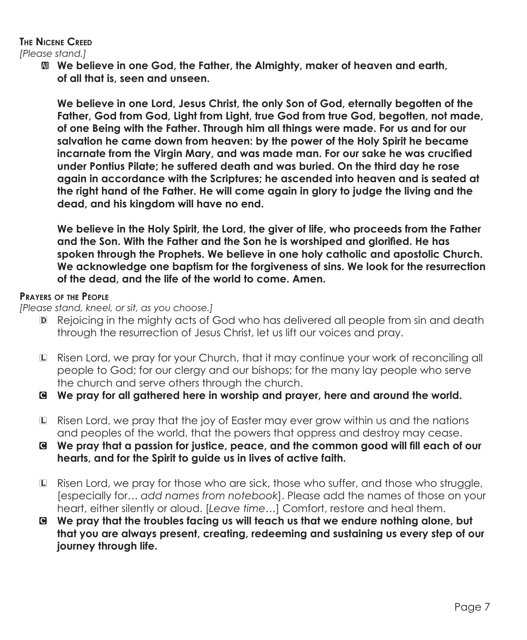## **The Nicene Creed**

*[Please stand.]*

 $\mathbf{M}$  We believe in one God, the Father, the Almighty, maker of heaven and earth,  **of all that is, seen and unseen.**

 **We believe in one Lord, Jesus Christ, the only Son of God, eternally begotten of the Father, God from God, Light from Light, true God from true God, begotten, not made, of one Being with the Father. Through him all things were made. For us and for our salvation he came down from heaven: by the power of the Holy Spirit he became incarnate from the Virgin Mary, and was made man. For our sake he was crucified under Pontius Pilate; he suffered death and was buried. On the third day he rose again in accordance with the Scriptures; he ascended into heaven and is seated at the right hand of the Father. He will come again in glory to judge the living and the dead, and his kingdom will have no end.**

 **We believe in the Holy Spirit, the Lord, the giver of life, who proceeds from the Father and the Son. With the Father and the Son he is worshiped and glorified. He has spoken through the Prophets. We believe in one holy catholic and apostolic Church. We acknowledge one baptism for the forgiveness of sins. We look for the resurrection of the dead, and the life of the world to come. Amen.**

### **Prayers of the People**

*[Please stand, kneel, or sit, as you choose.]*

- D Rejoicing in the mighty acts of God who has delivered all people from sin and death through the resurrection of Jesus Christ, let us lift our voices and pray.
- L Risen Lord, we pray for your Church, that it may continue your work of reconciling all people to God; for our clergy and our bishops; for the many lay people who serve the church and serve others through the church.
- C **We pray for all gathered here in worship and prayer, here and around the world.**
- L Risen Lord, we pray that the joy of Easter may ever grow within us and the nations and peoples of the world, that the powers that oppress and destroy may cease.
- C **We pray that a passion for justice, peace, and the common good will fill each of our hearts, and for the Spirit to guide us in lives of active faith.**
- L Risen Lord, we pray for those who are sick, those who suffer, and those who struggle, [especially for… *add names from notebook*]. Please add the names of those on your heart, either silently or aloud. [*Leave time…*] Comfort, restore and heal them.
- C **We pray that the troubles facing us will teach us that we endure nothing alone, but that you are always present, creating, redeeming and sustaining us every step of our journey through life.**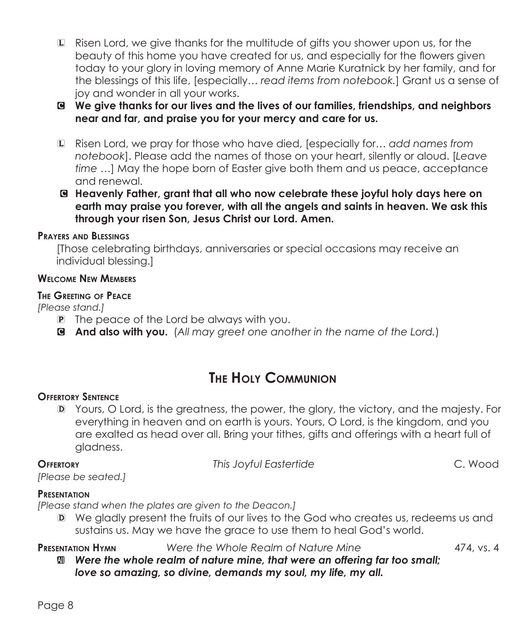the blessings of this life, [especially… *read items from notebook.*] Grant us a sense of joy and wonder in all your works. C **We give thanks for our lives and the lives of our families, friendships, and neighbors near and far, and praise you for your mercy and care for us.**

L Risen Lord, we give thanks for the multitude of gifts you shower upon us, for the beauty of this home you have created for us, and especially for the flowers given today to your glory in loving memory of Anne Marie Kuratnick by her family, and for

- L Risen Lord, we pray for those who have died, [especially for… *add names from notebook*]. Please add the names of those on your heart, silently or aloud. [*Leave time …*] May the hope born of Easter give both them and us peace, acceptance and renewal.
- C **Heavenly Father, grant that all who now celebrate these joyful holy days here on earth may praise you forever, with all the angels and saints in heaven. We ask this through your risen Son, Jesus Christ our Lord. Amen.**

## **Prayers and Blessings**

[Those celebrating birthdays, anniversaries or special occasions may receive an individual blessing.]

## **Welcome New Members**

## **The Greeting of Peace**

*[Please stand.]*

- P The peace of the Lord be always with you.
- C **And also with you.** (*All may greet one another in the name of the Lord.*)

## **The Holy Communion**

## **Offertory Sentence**

D Yours, O Lord, is the greatness, the power, the glory, the victory, and the majesty. For everything in heaven and on earth is yours. Yours, O Lord, is the kingdom, and you are exalted as head over all. Bring your tithes, gifts and offerings with a heart full of gladness.

**Offertory** *This Joyful Eastertide* C. Wood

*[Please be seated.]*

## **Presentation**

*[Please stand when the plates are given to the Deacon.]*

D We gladly present the fruits of our lives to the God who creates us, redeems us and sustains us. May we have the grace to use them to heal God's world.

**Presentation Hymn** *Were the Whole Realm of Nature Mine* 474, vs. 4

a *Were the whole realm of nature mine, that were an offering far too small; love so amazing, so divine, demands my soul, my life, my all.*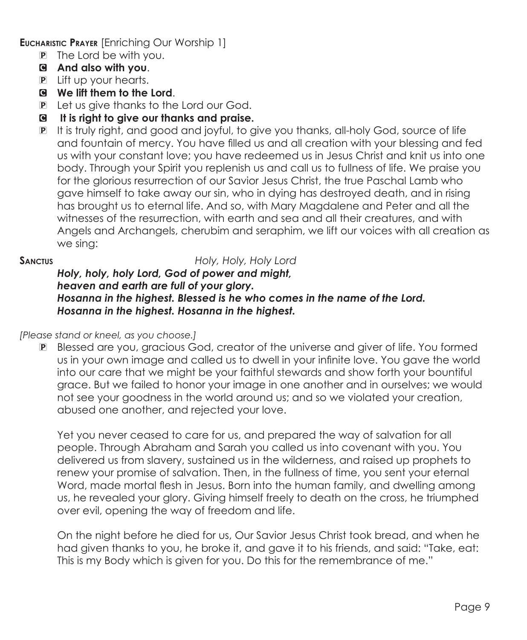**Eucharistic Prayer** [Enriching Our Worship 1]

- P The Lord be with you.
- C **And also with you**.
- P Lift up your hearts.
- C **We lift them to the Lord**.
- P Let us give thanks to the Lord our God.
- C **It is right to give our thanks and praise.**
- P It is truly right, and good and joyful, to give you thanks, all-holy God, source of life and fountain of mercy. You have filled us and all creation with your blessing and fed us with your constant love; you have redeemed us in Jesus Christ and knit us into one body. Through your Spirit you replenish us and call us to fullness of life. We praise you for the glorious resurrection of our Savior Jesus Christ, the true Paschal Lamb who gave himself to take away our sin, who in dying has destroyed death, and in rising has brought us to eternal life. And so, with Mary Magdalene and Peter and all the witnesses of the resurrection, with earth and sea and all their creatures, and with Angels and Archangels, cherubim and seraphim, we lift our voices with all creation as we sing:

## **Sanctus** *Holy, Holy, Holy Lord*

*Holy, holy, holy Lord, God of power and might, heaven and earth are full of your glory. Hosanna in the highest. Blessed is he who comes in the name of the Lord. Hosanna in the highest. Hosanna in the highest.*

## *[Please stand or kneel, as you choose.]*

P Blessed are you, gracious God, creator of the universe and giver of life. You formed us in your own image and called us to dwell in your infinite love. You gave the world into our care that we might be your faithful stewards and show forth your bountiful grace. But we failed to honor your image in one another and in ourselves; we would not see your goodness in the world around us; and so we violated your creation, abused one another, and rejected your love.

Yet you never ceased to care for us, and prepared the way of salvation for all people. Through Abraham and Sarah you called us into covenant with you. You delivered us from slavery, sustained us in the wilderness, and raised up prophets to renew your promise of salvation. Then, in the fullness of time, you sent your eternal Word, made mortal flesh in Jesus. Born into the human family, and dwelling among us, he revealed your glory. Giving himself freely to death on the cross, he triumphed over evil, opening the way of freedom and life.

 On the night before he died for us, Our Savior Jesus Christ took bread, and when he had given thanks to you, he broke it, and gave it to his friends, and said: "Take, eat: This is my Body which is given for you. Do this for the remembrance of me."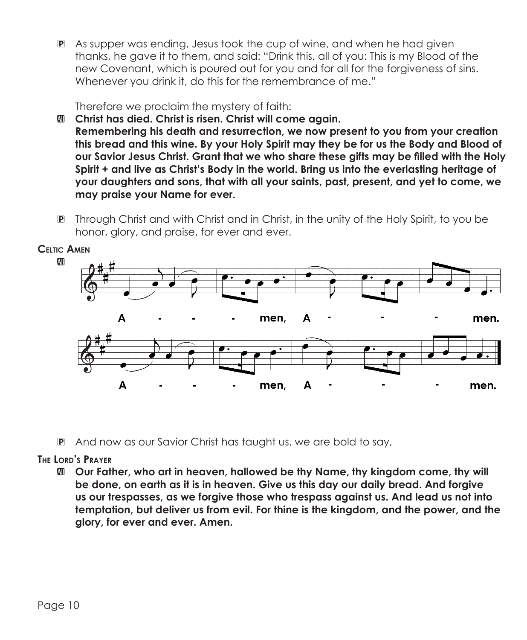P As supper was ending, Jesus took the cup of wine, and when he had given thanks, he gave it to them, and said: "Drink this, all of you: This is my Blood of the new Covenant, which is poured out for you and for all for the forgiveness of sins. Whenever you drink it, do this for the remembrance of me."

Therefore we proclaim the mystery of faith:

- $\mathbf{u}$  Christ has died. Christ is risen. Christ will come again.  **Remembering his death and resurrection, we now present to you from your creation this bread and this wine. By your Holy Spirit may they be for us the Body and Blood of our Savior Jesus Christ. Grant that we who share these gifts may be filled with the Holy Spirit + and live as Christ's Body in the world. Bring us into the everlasting heritage of your daughters and sons, that with all your saints, past, present, and yet to come, we may praise your Name for ever.**
- P Through Christ and with Christ and in Christ, in the unity of the Holy Spirit, to you be honor, glory, and praise, for ever and ever.



P And now as our Savior Christ has taught us, we are bold to say,

## **The Lord's Prayer**

a **Our Father, who art in heaven, hallowed be thy Name, thy kingdom come, thy will be done, on earth as it is in heaven. Give us this day our daily bread. And forgive us our trespasses, as we forgive those who trespass against us. And lead us not into temptation, but deliver us from evil. For thine is the kingdom, and the power, and the glory, for ever and ever. Amen.**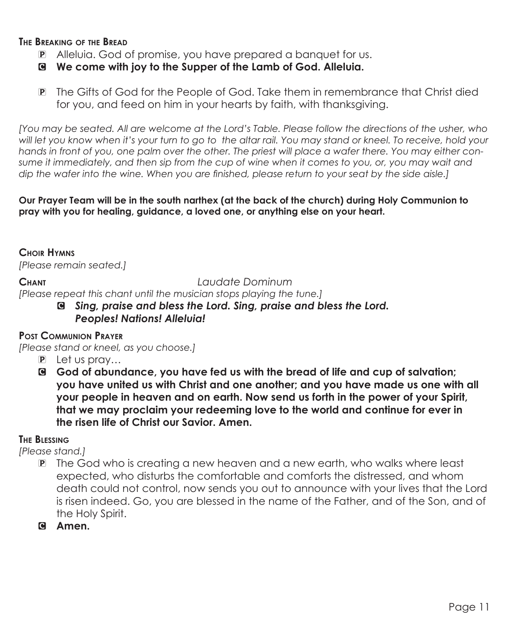### **The Breaking of the Bread**

- P Alleluia. God of promise, you have prepared a banquet for us.
- C **We come with joy to the Supper of the Lamb of God. Alleluia.**
- P The Gifts of God for the People of God. Take them in remembrance that Christ died for you, and feed on him in your hearts by faith, with thanksgiving.

*[You may be seated. All are welcome at the Lord's Table. Please follow the directions of the usher, who will let you know when it's your turn to go to the altar rail. You may stand or kneel. To receive, hold your hands in front of you, one palm over the other. The priest will place a wafer there. You may either consume it immediately, and then sip from the cup of wine when it comes to you, or, you may wait and dip the wafer into the wine. When you are finished, please return to your seat by the side aisle.]*

### **Our Prayer Team will be in the south narthex (at the back of the church) during Holy Communion to pray with you for healing, guidance, a loved one, or anything else on your heart.**

## **Choir Hymns**

*[Please remain seated.]*

**Chant** *Laudate Dominum*

*[Please repeat this chant until the musician stops playing the tune.]*

 C *Sing, praise and bless the Lord. Sing, praise and bless the Lord. Peoples! Nations! Alleluia!* 

## **Post Communion Prayer**

*[Please stand or kneel, as you choose.]*

- P Let us pray…
- C **God of abundance, you have fed us with the bread of life and cup of salvation; you have united us with Christ and one another; and you have made us one with all your people in heaven and on earth. Now send us forth in the power of your Spirit, that we may proclaim your redeeming love to the world and continue for ever in the risen life of Christ our Savior. Amen.**

## **The Blessing**

*[Please stand.]*

- P The God who is creating a new heaven and a new earth, who walks where least expected, who disturbs the comfortable and comforts the distressed, and whom death could not control, now sends you out to announce with your lives that the Lord is risen indeed. Go, you are blessed in the name of the Father, and of the Son, and of the Holy Spirit.
- C **Amen.**